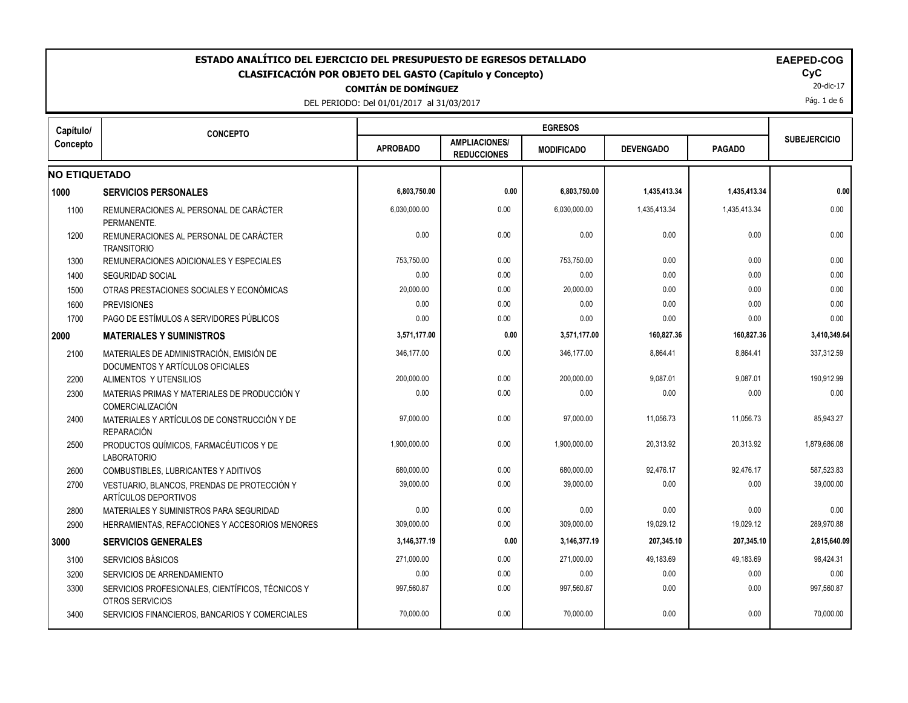#### DEL PERIODO: Del 01/01/2017 al 31/03/2017 20-dic-17 **Capítulo/ Concepto CONCEPTO COMITÁN DE DOMÍNGUEZ** Pág. 1 de 6 **SUBEJERCICIO MODIFICADO DEVENGADO PAGADO AMPLIACIONES/**  APROBADO **AMPLIACIONES** MODIFICADO **ESTADO ANALÍTICO DEL EJERCICIO DEL PRESUPUESTO DE EGRESOS DETALLADO EAEPED-COG CLASIFICACIÓN POR OBJETO DEL GASTO (Capítulo y Concepto) CyC EGRESOS NO ETIQUETADO** 1000 SERVICIOS PERSONALES 6,803,750.00 | 6,803,750.00 | 1,435,413.34 | 0.00| 1100 REMUNERACIONES AL PERSONAL DE CARÁCTER PERMANENTE. 6,030,000.00 0.00 0.00 6,030,000.00 1 4,435,413.34 1,435,413.34 0.00 0.00 1 1200 REMUNERACIONES AL PERSONAL DE CARÁCTER **TRANSITORIO**  0.00 0.00 0.00 0.00 0.00 0.00 1300 REMUNERACIONES ADICIONALES Y ESPECIALES 753,750.00 0.00 753,750.00 0.00 0.00 0.00 1400 SEGURIDAD SOCIAL | 0.00 | 0.00 | 0.00 | 0.00 | 0.00 | 0.00 | 1500 OTRAS PRESTACIONES SOCIALES Y ECONÓMICAS 20,000.00 0.00 20,000.00 0.00 0.00 0.00 1600 PREVISIONES 0.00 0.00 0.00 0.00 0.00 0.00 1700 PAGO DE ESTÍMULOS A SERVIDORES PÚBLICOS 0.00 0.00 0.00 0.00 0.00 0.00 **2000 MATERIALES Y SUMINISTROS 3,571,177.00 0.00 3,571,177.00 160,827.36 160,827.36 3,410,349.64** 2100 MATERIALES DE ADMINISTRACIÓN, EMISIÓN DE DOCUMENTOS Y ARTÍCULOS OFICIALES 346,177.00 0.00 346,177.00 8,864.41 8,864.41 337,312.59 2200 ALIMENTOS Y UTENSILIOS 200,000.00 0.00 200,000.00 9,087.01 9,087.01 190,912.99 2300 MATERIAS PRIMAS Y MATERIALES DE PRODUCCIÓN Y COMERCIALIZACIÓN 0.00 0.00 0.00 0.00 0.00 0.00 2400 MATERIALES Y ARTÍCULOS DE CONSTRUCCIÓN Y DE REPARACIÓN 97,000.00 0.00 97,000.00 11,056.73 11,056.73 35,943.27 2500 PRODUCTOS QUÍMICOS, FARMACÉUTICOS Y DE LABORATORIO 1,900,000.00 | 0.00 | 1,900,000.00 | 20,313.92 | 20,313.92 | 1,879,686.08 | 2600 COMBUSTIBLES, LUBRICANTES Y ADITIVOS | 680,000.00 | 680,000.00 | 680,000.00 | 680,000.00 | 92,476.17 92,476.17 587,523.83 2700 VESTUARIO, BLANCOS, PRENDAS DE PROTECCIÓN Y ARTÍCULOS DEPORTIVOS 39,000.00 0.00 39,000.00 39,000.00 0.00 0.00 0.00 0.000 39,000.00 0.000 0.000 0.000 0.000 0.000 0.000 0.000 0.0 2800 MATERIALES Y SUMINISTROS PARA SEGURIDAD 0.00 0.00 0.00 0.00 0.00 0.00 2900 HERRAMIENTAS, REFACCIONES Y ACCESORIOS MENORES | 309,000.00 | 0.00 | 309,000.00 | 19,029.12 | 19,029.12 289,970.88 **3000 SERVICIOS GENERALES 3,146,377.19 0.00 3,146,377.19 207,345.10 207,345.10 2,815,640.09** 3100 SERVICIOS BÁSICOS 271,000.00 | 0.00 | 271,000.00 | 49,183.69 | 98,424.31 | 3200 SERVICIOS DE ARRENDAMIENTO 0.00 0.00 0.00 0.00 0.00 0.00 3300 SERVICIOS PROFESIONALES, CIENTÍFICOS, TÉCNICOS Y OTROS SERVICIOS 997,560.87 0.00 997,560.87 0.00 0.00 997,560.87 3400 SERVICIOS FINANCIEROS. BANCARIOS Y COMERCIALES (2000.00 0.000 0.000 0.000 0.000 0.000 0.000 0.000 0.000 0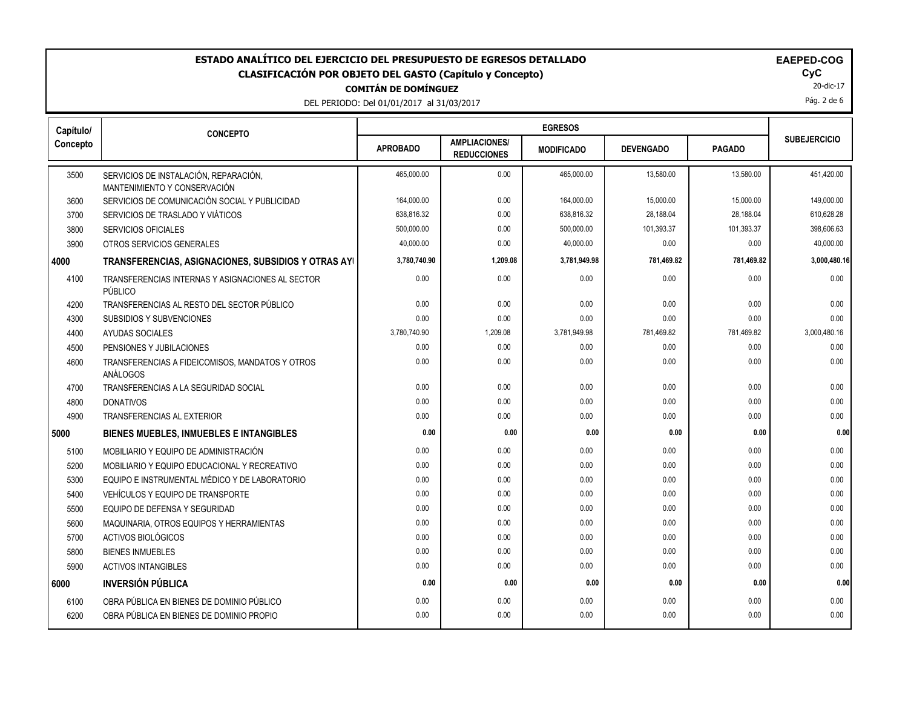**Capítulo/**

DEL PERIODO: Del 01/01/201

|    | 17 al 31/03/2017                           |                   |                  |              |
|----|--------------------------------------------|-------------------|------------------|--------------|
|    |                                            | <b>EGRESOS</b>    |                  |              |
| ۱О | <b>AMPLIACIONES/</b><br><b>DEDUCCIONES</b> | <b>MODIFICADO</b> | <b>DEVENGADO</b> | <b>PAGAD</b> |

| Capítulo/ | <b>CONCEPTO</b>                                                       | EGRESOS         |                                            |                   |                  |               |                     |
|-----------|-----------------------------------------------------------------------|-----------------|--------------------------------------------|-------------------|------------------|---------------|---------------------|
| Concepto  |                                                                       | <b>APROBADO</b> | <b>AMPLIACIONES/</b><br><b>REDUCCIONES</b> | <b>MODIFICADO</b> | <b>DEVENGADO</b> | <b>PAGADO</b> | <b>SUBEJERCICIO</b> |
| 3500      | SERVICIOS DE INSTALACIÓN, REPARACIÓN,<br>MANTENIMIENTO Y CONSERVACIÓN | 465,000.00      | 0.00                                       | 465,000.00        | 13,580.00        | 13,580.00     | 451,420.00          |
| 3600      | SERVICIOS DE COMUNICACIÓN SOCIAL Y PUBLICIDAD                         | 164,000.00      | 0.00                                       | 164,000.00        | 15,000.00        | 15,000.00     | 149,000.00          |
| 3700      | SERVICIOS DE TRASLADO Y VIÁTICOS                                      | 638,816.32      | 0.00                                       | 638,816.32        | 28,188.04        | 28,188.04     | 610,628.28          |
| 3800      | <b>SERVICIOS OFICIALES</b>                                            | 500,000.00      | 0.00                                       | 500,000.00        | 101,393.37       | 101,393.37    | 398,606.63          |
| 3900      | OTROS SERVICIOS GENERALES                                             | 40,000.00       | 0.00                                       | 40.000.00         | 0.00             | 0.00          | 40,000.00           |
| 4000      | TRANSFERENCIAS, ASIGNACIONES, SUBSIDIOS Y OTRAS AYI                   | 3,780,740.90    | 1,209.08                                   | 3,781,949.98      | 781,469.82       | 781,469.82    | 3,000,480.16        |
| 4100      | TRANSFERENCIAS INTERNAS Y ASIGNACIONES AL SECTOR<br>PÚBLICO           | 0.00            | 0.00                                       | 0.00              | 0.00             | 0.00          | 0.00                |
| 4200      | TRANSFERENCIAS AL RESTO DEL SECTOR PÚBLICO                            | 0.00            | 0.00                                       | 0.00              | 0.00             | 0.00          | 0.00                |
| 4300      | SUBSIDIOS Y SUBVENCIONES                                              | 0.00            | 0.00                                       | 0.00              | 0.00             | 0.00          | 0.00                |
| 4400      | AYUDAS SOCIALES                                                       | 3,780,740.90    | 1,209.08                                   | 3,781,949.98      | 781,469.82       | 781,469.82    | 3,000,480.16        |
| 4500      | PENSIONES Y JUBILACIONES                                              | 0.00            | 0.00                                       | 0.00              | 0.00             | 0.00          | 0.00                |
| 4600      | TRANSFERENCIAS A FIDEICOMISOS, MANDATOS Y OTROS<br>ANÁLOGOS           | 0.00            | 0.00                                       | 0.00              | 0.00             | 0.00          | 0.00                |
| 4700      | TRANSFERENCIAS A LA SEGURIDAD SOCIAL                                  | 0.00            | 0.00                                       | 0.00              | 0.00             | 0.00          | 0.00                |
| 4800      | <b>DONATIVOS</b>                                                      | 0.00            | 0.00                                       | 0.00              | 0.00             | 0.00          | 0.00                |
| 4900      | <b>TRANSFERENCIAS AL EXTERIOR</b>                                     | 0.00            | 0.00                                       | 0.00              | 0.00             | 0.00          | 0.00                |
| 5000      | <b>BIENES MUEBLES, INMUEBLES E INTANGIBLES</b>                        | 0.00            | 0.00                                       | 0.00              | 0.00             | 0.00          | 0.00                |
| 5100      | MOBILIARIO Y EQUIPO DE ADMINISTRACIÓN                                 | 0.00            | 0.00                                       | 0.00              | 0.00             | 0.00          | 0.00                |
| 5200      | MOBILIARIO Y EQUIPO EDUCACIONAL Y RECREATIVO                          | 0.00            | 0.00                                       | 0.00              | 0.00             | 0.00          | 0.00                |
| 5300      | EQUIPO E INSTRUMENTAL MÉDICO Y DE LABORATORIO                         | 0.00            | 0.00                                       | 0.00              | 0.00             | 0.00          | 0.00                |
| 5400      | VEHÍCULOS Y EQUIPO DE TRANSPORTE                                      | 0.00            | 0.00                                       | 0.00              | 0.00             | 0.00          | 0.00                |
| 5500      | EQUIPO DE DEFENSA Y SEGURIDAD                                         | 0.00            | 0.00                                       | 0.00              | 0.00             | 0.00          | 0.00                |
| 5600      | MAQUINARIA, OTROS EQUIPOS Y HERRAMIENTAS                              | 0.00            | 0.00                                       | 0.00              | 0.00             | 0.00          | 0.00                |
| 5700      | <b>ACTIVOS BIOLÓGICOS</b>                                             | 0.00            | 0.00                                       | 0.00              | 0.00             | 0.00          | 0.00                |
| 5800      | <b>BIENES INMUEBLES</b>                                               | 0.00            | 0.00                                       | 0.00              | 0.00             | 0.00          | 0.00                |
| 5900      | <b>ACTIVOS INTANGIBLES</b>                                            | 0.00            | 0.00                                       | 0.00              | 0.00             | 0.00          | 0.00                |
| 6000      | <b>INVERSIÓN PÚBLICA</b>                                              | 0.00            | 0.00                                       | 0.00              | 0.00             | 0.00          | 0.00                |
| 6100      | OBRA PÚBLICA EN BIENES DE DOMINIO PÚBLICO                             | 0.00            | 0.00                                       | 0.00              | 0.00             | 0.00          | 0.00                |
| 6200      | OBRA PÚBLICA EN BIENES DE DOMINIO PROPIO                              | 0.00            | 0.00                                       | 0.00              | 0.00             | 0.00          | 0.00                |

20-dic-17

Pág. 2 de 6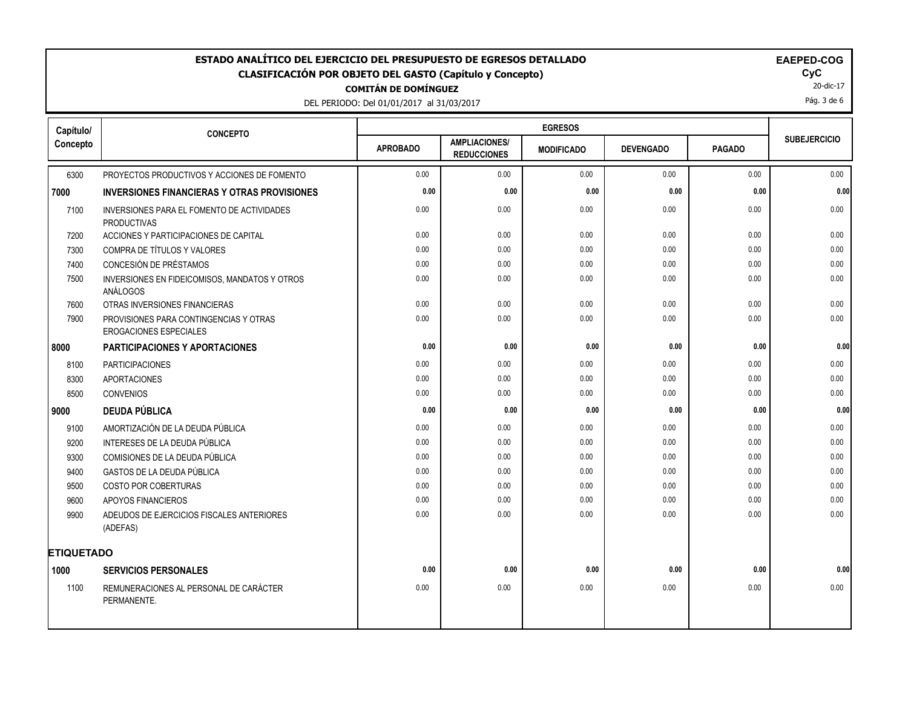DEL PERIODO: Del 01/01/2017 al 31/03/2017

20-dic-17

Pág. 3 de 6

| Capítulo/         | <b>CONCEPTO</b>                                                         | <b>EGRESOS</b>  |                                            |                   |                  |               |                     |
|-------------------|-------------------------------------------------------------------------|-----------------|--------------------------------------------|-------------------|------------------|---------------|---------------------|
| Concepto          |                                                                         | <b>APROBADO</b> | <b>AMPLIACIONES/</b><br><b>REDUCCIONES</b> | <b>MODIFICADO</b> | <b>DEVENGADO</b> | <b>PAGADO</b> | <b>SUBEJERCICIO</b> |
| 6300              | PROYECTOS PRODUCTIVOS Y ACCIONES DE FOMENTO                             | 0.00            | 0.00                                       | 0.00              | 0.00             | 0.00          | 0.00                |
| 7000              | <b>INVERSIONES FINANCIERAS Y OTRAS PROVISIONES</b>                      | 0.00            | 0.00                                       | 0.00              | 0.00             | 0.00          | 0.00                |
| 7100              | INVERSIONES PARA EL FOMENTO DE ACTIVIDADES<br><b>PRODUCTIVAS</b>        | 0.00            | 0.00                                       | 0.00              | 0.00             | 0.00          | 0.00                |
| 7200              | ACCIONES Y PARTICIPACIONES DE CAPITAL                                   | 0.00            | 0.00                                       | 0.00              | 0.00             | 0.00          | 0.00                |
| 7300              | COMPRA DE TÍTULOS Y VALORES                                             | 0.00            | 0.00                                       | 0.00              | 0.00             | 0.00          | 0.00                |
| 7400              | CONCESIÓN DE PRÉSTAMOS                                                  | 0.00            | 0.00                                       | 0.00              | 0.00             | 0.00          | 0.00                |
| 7500              | INVERSIONES EN FIDEICOMISOS, MANDATOS Y OTROS<br>ANÁLOGOS               | 0.00            | 0.00                                       | 0.00              | 0.00             | 0.00          | 0.00                |
| 7600              | OTRAS INVERSIONES FINANCIERAS                                           | 0.00            | 0.00                                       | 0.00              | 0.00             | 0.00          | 0.00                |
| 7900              | PROVISIONES PARA CONTINGENCIAS Y OTRAS<br><b>EROGACIONES ESPECIALES</b> | 0.00            | 0.00                                       | 0.00              | 0.00             | 0.00          | 0.00                |
| 8000              | <b>PARTICIPACIONES Y APORTACIONES</b>                                   | 0.00            | 0.00                                       | 0.00              | 0.00             | 0.00          | 0.00                |
| 8100              | <b>PARTICIPACIONES</b>                                                  | 0.00            | 0.00                                       | 0.00              | 0.00             | 0.00          | 0.00                |
| 8300              | <b>APORTACIONES</b>                                                     | 0.00            | 0.00                                       | 0.00              | 0.00             | 0.00          | 0.00                |
| 8500              | <b>CONVENIOS</b>                                                        | 0.00            | 0.00                                       | 0.00              | 0.00             | 0.00          | 0.00                |
| 9000              | <b>DEUDA PÚBLICA</b>                                                    | 0.00            | 0.00                                       | 0.00              | 0.00             | 0.00          | 0.00                |
| 9100              | AMORTIZACIÓN DE LA DEUDA PÚBLICA                                        | 0.00            | 0.00                                       | 0.00              | 0.00             | 0.00          | 0.00                |
| 9200              | INTERESES DE LA DEUDA PÚBLICA                                           | 0.00            | 0.00                                       | 0.00              | 0.00             | 0.00          | 0.00                |
| 9300              | COMISIONES DE LA DEUDA PÚBLICA                                          | 0.00            | 0.00                                       | 0.00              | 0.00             | 0.00          | 0.00                |
| 9400              | GASTOS DE LA DEUDA PÚBLICA                                              | 0.00            | 0.00                                       | 0.00              | 0.00             | 0.00          | 0.00                |
| 9500              | <b>COSTO POR COBERTURAS</b>                                             | 0.00            | 0.00                                       | 0.00              | 0.00             | 0.00          | 0.00                |
| 9600              | APOYOS FINANCIEROS                                                      | 0.00            | 0.00                                       | 0.00              | 0.00             | 0.00          | 0.00                |
| 9900              | ADEUDOS DE EJERCICIOS FISCALES ANTERIORES<br>(ADEFAS)                   | 0.00            | 0.00                                       | 0.00              | 0.00             | 0.00          | 0.00                |
| <b>ETIQUETADO</b> |                                                                         |                 |                                            |                   |                  |               |                     |
| 1000              | <b>SERVICIOS PERSONALES</b>                                             | 0.00            | 0.00                                       | 0.00              | 0.00             | 0.00          | 0.00                |
| 1100              | REMUNERACIONES AL PERSONAL DE CARÁCTER<br>PERMANENTE.                   | 0.00            | 0.00                                       | 0.00              | 0.00             | 0.00          | 0.00                |
|                   |                                                                         |                 |                                            |                   |                  |               |                     |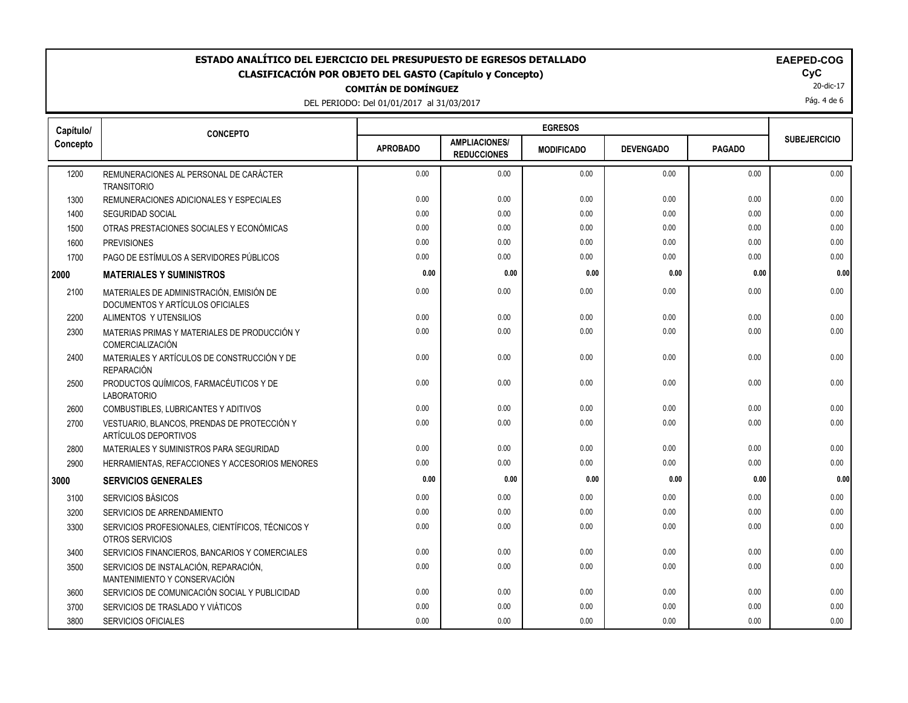| DEL PERIODO: Del 01/01/2017 al 31/03/20 |  |  |
|-----------------------------------------|--|--|

| DEL PERIODO: Del 01/01/2017 al 31/03/2017 |  |
|-------------------------------------------|--|
|-------------------------------------------|--|

| Capítulo/ | <b>CONCEPTO</b>                                                              | <b>EGRESOS</b>  |                                            |                   |                  |               |                     |
|-----------|------------------------------------------------------------------------------|-----------------|--------------------------------------------|-------------------|------------------|---------------|---------------------|
| Concepto  |                                                                              | <b>APROBADO</b> | <b>AMPLIACIONES/</b><br><b>REDUCCIONES</b> | <b>MODIFICADO</b> | <b>DEVENGADO</b> | <b>PAGADO</b> | <b>SUBEJERCICIO</b> |
| 1200      | REMUNERACIONES AL PERSONAL DE CARÁCTER<br><b>TRANSITORIO</b>                 | 0.00            | 0.00                                       | 0.00              | 0.00             | 0.00          | 0.00                |
| 1300      | REMUNERACIONES ADICIONALES Y ESPECIALES                                      | 0.00            | 0.00                                       | 0.00              | 0.00             | 0.00          | 0.00                |
| 1400      | <b>SEGURIDAD SOCIAL</b>                                                      | 0.00            | 0.00                                       | 0.00              | 0.00             | 0.00          | 0.00                |
| 1500      | OTRAS PRESTACIONES SOCIALES Y ECONÓMICAS                                     | 0.00            | 0.00                                       | 0.00              | 0.00             | 0.00          | 0.00                |
| 1600      | <b>PREVISIONES</b>                                                           | 0.00            | 0.00                                       | 0.00              | 0.00             | 0.00          | 0.00                |
| 1700      | PAGO DE ESTÍMULOS A SERVIDORES PÚBLICOS                                      | 0.00            | 0.00                                       | 0.00              | 0.00             | 0.00          | 0.00                |
| 2000      | <b>MATERIALES Y SUMINISTROS</b>                                              | 0.00            | 0.00                                       | 0.00              | 0.00             | 0.00          | 0.00                |
| 2100      | MATERIALES DE ADMINISTRACIÓN, EMISIÓN DE<br>DOCUMENTOS Y ARTÍCULOS OFICIALES | 0.00            | 0.00                                       | 0.00              | 0.00             | 0.00          | 0.00                |
| 2200      | ALIMENTOS Y UTENSILIOS                                                       | 0.00            | 0.00                                       | 0.00              | 0.00             | 0.00          | 0.00                |
| 2300      | MATERIAS PRIMAS Y MATERIALES DE PRODUCCIÓN Y<br>COMERCIALIZACIÓN             | 0.00            | 0.00                                       | 0.00              | 0.00             | 0.00          | 0.00                |
| 2400      | MATERIALES Y ARTÍCULOS DE CONSTRUCCIÓN Y DE<br><b>REPARACIÓN</b>             | 0.00            | 0.00                                       | 0.00              | 0.00             | 0.00          | 0.00                |
| 2500      | PRODUCTOS QUÍMICOS, FARMACÉUTICOS Y DE<br><b>LABORATORIO</b>                 | 0.00            | 0.00                                       | 0.00              | 0.00             | 0.00          | 0.00                |
| 2600      | COMBUSTIBLES, LUBRICANTES Y ADITIVOS                                         | 0.00            | 0.00                                       | 0.00              | 0.00             | 0.00          | 0.00                |
| 2700      | VESTUARIO, BLANCOS, PRENDAS DE PROTECCIÓN Y<br>ARTÍCULOS DEPORTIVOS          | 0.00            | 0.00                                       | 0.00              | 0.00             | 0.00          | 0.00                |
| 2800      | MATERIALES Y SUMINISTROS PARA SEGURIDAD                                      | 0.00            | 0.00                                       | 0.00              | 0.00             | 0.00          | 0.00                |
| 2900      | HERRAMIENTAS, REFACCIONES Y ACCESORIOS MENORES                               | 0.00            | 0.00                                       | 0.00              | 0.00             | 0.00          | 0.00                |
| 3000      | <b>SERVICIOS GENERALES</b>                                                   | 0.00            | 0.00                                       | 0.00              | 0.00             | 0.00          | 0.00                |
| 3100      | SERVICIOS BÁSICOS                                                            | 0.00            | 0.00                                       | 0.00              | 0.00             | 0.00          | 0.00                |
| 3200      | SERVICIOS DE ARRENDAMIENTO                                                   | 0.00            | 0.00                                       | 0.00              | 0.00             | 0.00          | 0.00                |
| 3300      | SERVICIOS PROFESIONALES, CIENTÍFICOS, TÉCNICOS Y<br>OTROS SERVICIOS          | 0.00            | 0.00                                       | 0.00              | 0.00             | 0.00          | 0.00                |
| 3400      | SERVICIOS FINANCIEROS, BANCARIOS Y COMERCIALES                               | 0.00            | 0.00                                       | 0.00              | 0.00             | 0.00          | 0.00                |
| 3500      | SERVICIOS DE INSTALACIÓN, REPARACIÓN,<br>MANTENIMIENTO Y CONSERVACIÓN        | 0.00            | 0.00                                       | 0.00              | 0.00             | 0.00          | 0.00                |
| 3600      | SERVICIOS DE COMUNICACIÓN SOCIAL Y PUBLICIDAD                                | 0.00            | 0.00                                       | 0.00              | 0.00             | 0.00          | 0.00                |
| 3700      | SERVICIOS DE TRASLADO Y VIÁTICOS                                             | 0.00            | 0.00                                       | 0.00              | 0.00             | 0.00          | 0.00                |
| 3800      | SERVICIOS OFICIALES                                                          | 0.00            | 0.00                                       | 0.00              | 0.00             | 0.00          | 0.00                |

20-dic-17

Pág. 4 de 6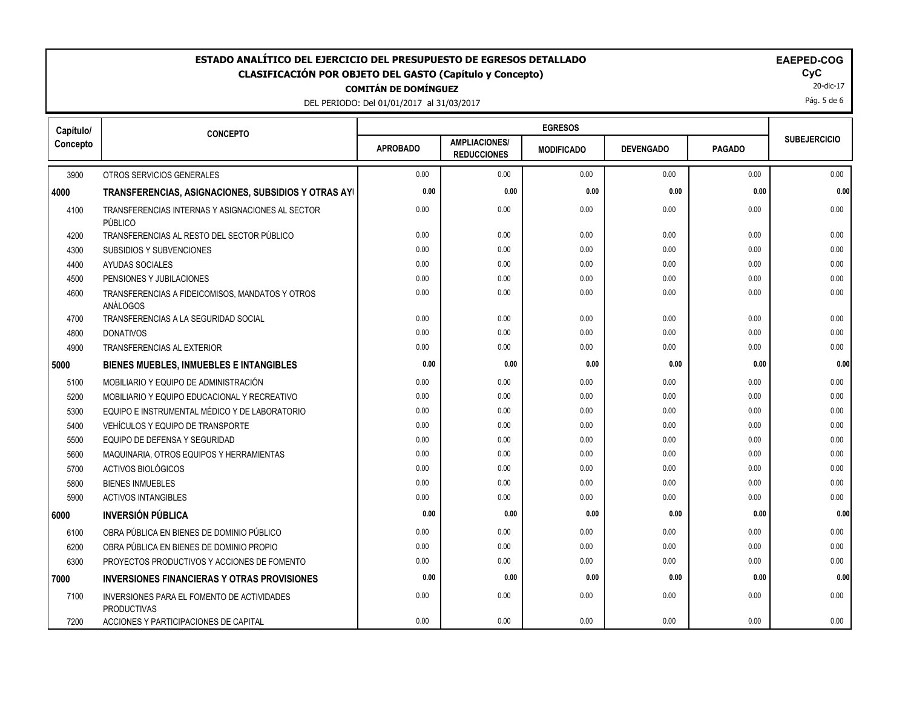DEL PERIODO: Del 01/01/2017 al 31/03/2017

| Capítulo/ | <b>CONCEPTO</b>                                                  | <b>EGRESOS</b>  |                                            |                   |                  |               |                     |
|-----------|------------------------------------------------------------------|-----------------|--------------------------------------------|-------------------|------------------|---------------|---------------------|
| Concepto  |                                                                  | <b>APROBADO</b> | <b>AMPLIACIONES/</b><br><b>REDUCCIONES</b> | <b>MODIFICADO</b> | <b>DEVENGADO</b> | <b>PAGADO</b> | <b>SUBEJERCICIO</b> |
| 3900      | OTROS SERVICIOS GENERALES                                        | 0.00            | 0.00                                       | 0.00              | 0.00             | 0.00          | 0.00                |
| 4000      | TRANSFERENCIAS, ASIGNACIONES, SUBSIDIOS Y OTRAS AYI              | 0.00            | 0.00                                       | 0.00              | 0.00             | 0.00          | 0.00                |
| 4100      | TRANSFERENCIAS INTERNAS Y ASIGNACIONES AL SECTOR<br>PÚBLICO      | 0.00            | 0.00                                       | 0.00              | 0.00             | 0.00          | 0.00                |
| 4200      | TRANSFERENCIAS AL RESTO DEL SECTOR PÚBLICO                       | 0.00            | 0.00                                       | 0.00              | 0.00             | 0.00          | 0.00                |
| 4300      | SUBSIDIOS Y SUBVENCIONES                                         | 0.00            | 0.00                                       | 0.00              | 0.00             | 0.00          | 0.00                |
| 4400      | AYUDAS SOCIALES                                                  | 0.00            | 0.00                                       | 0.00              | 0.00             | 0.00          | 0.00                |
| 4500      | PENSIONES Y JUBILACIONES                                         | 0.00            | 0.00                                       | 0.00              | 0.00             | 0.00          | 0.00                |
| 4600      | TRANSFERENCIAS A FIDEICOMISOS, MANDATOS Y OTROS<br>ANÁLOGOS      | 0.00            | 0.00                                       | 0.00              | 0.00             | 0.00          | 0.00                |
| 4700      | TRANSFERENCIAS A LA SEGURIDAD SOCIAL                             | 0.00            | 0.00                                       | 0.00              | 0.00             | 0.00          | 0.00                |
| 4800      | <b>DONATIVOS</b>                                                 | 0.00            | 0.00                                       | 0.00              | 0.00             | 0.00          | 0.00                |
| 4900      | TRANSFERENCIAS AL EXTERIOR                                       | 0.00            | 0.00                                       | 0.00              | 0.00             | 0.00          | 0.00                |
| 5000      | BIENES MUEBLES, INMUEBLES E INTANGIBLES                          | 0.00            | 0.00                                       | 0.00              | 0.00             | 0.00          | 0.00                |
| 5100      | MOBILIARIO Y EQUIPO DE ADMINISTRACIÓN                            | 0.00            | 0.00                                       | 0.00              | 0.00             | 0.00          | 0.00                |
| 5200      | MOBILIARIO Y EQUIPO EDUCACIONAL Y RECREATIVO                     | 0.00            | 0.00                                       | 0.00              | 0.00             | 0.00          | 0.00                |
| 5300      | EQUIPO E INSTRUMENTAL MÉDICO Y DE LABORATORIO                    | 0.00            | 0.00                                       | 0.00              | 0.00             | 0.00          | 0.00                |
| 5400      | VEHÍCULOS Y EQUIPO DE TRANSPORTE                                 | 0.00            | 0.00                                       | 0.00              | 0.00             | 0.00          | 0.00                |
| 5500      | EQUIPO DE DEFENSA Y SEGURIDAD                                    | 0.00            | 0.00                                       | 0.00              | 0.00             | 0.00          | 0.00                |
| 5600      | MAQUINARIA, OTROS EQUIPOS Y HERRAMIENTAS                         | 0.00            | 0.00                                       | 0.00              | 0.00             | 0.00          | 0.00                |
| 5700      | <b>ACTIVOS BIOLÓGICOS</b>                                        | 0.00            | 0.00                                       | 0.00              | 0.00             | 0.00          | 0.00                |
| 5800      | <b>BIENES INMUEBLES</b>                                          | 0.00            | 0.00                                       | 0.00              | 0.00             | 0.00          | 0.00                |
| 5900      | <b>ACTIVOS INTANGIBLES</b>                                       | 0.00            | 0.00                                       | 0.00              | 0.00             | 0.00          | 0.00                |
| 6000      | <b>INVERSIÓN PÚBLICA</b>                                         | 0.00            | 0.00                                       | 0.00              | 0.00             | 0.00          | 0.00                |
| 6100      | OBRA PÚBLICA EN BIENES DE DOMINIO PÚBLICO                        | 0.00            | 0.00                                       | 0.00              | 0.00             | 0.00          | 0.00                |
| 6200      | OBRA PÚBLICA EN BIENES DE DOMINIO PROPIO                         | 0.00            | 0.00                                       | 0.00              | 0.00             | 0.00          | 0.00                |
| 6300      | PROYECTOS PRODUCTIVOS Y ACCIONES DE FOMENTO                      | 0.00            | 0.00                                       | 0.00              | 0.00             | 0.00          | 0.00                |
| 7000      | <b>INVERSIONES FINANCIERAS Y OTRAS PROVISIONES</b>               | 0.00            | 0.00                                       | 0.00              | 0.00             | 0.00          | 0.00                |
| 7100      | INVERSIONES PARA EL FOMENTO DE ACTIVIDADES<br><b>PRODUCTIVAS</b> | 0.00            | 0.00                                       | 0.00              | 0.00             | 0.00          | 0.00                |
| 7200      | ACCIONES Y PARTICIPACIONES DE CAPITAL                            | 0.00            | 0.00                                       | 0.00              | 0.00             | 0.00          | 0.00                |

20-dic-17 Pág. 5 de 6